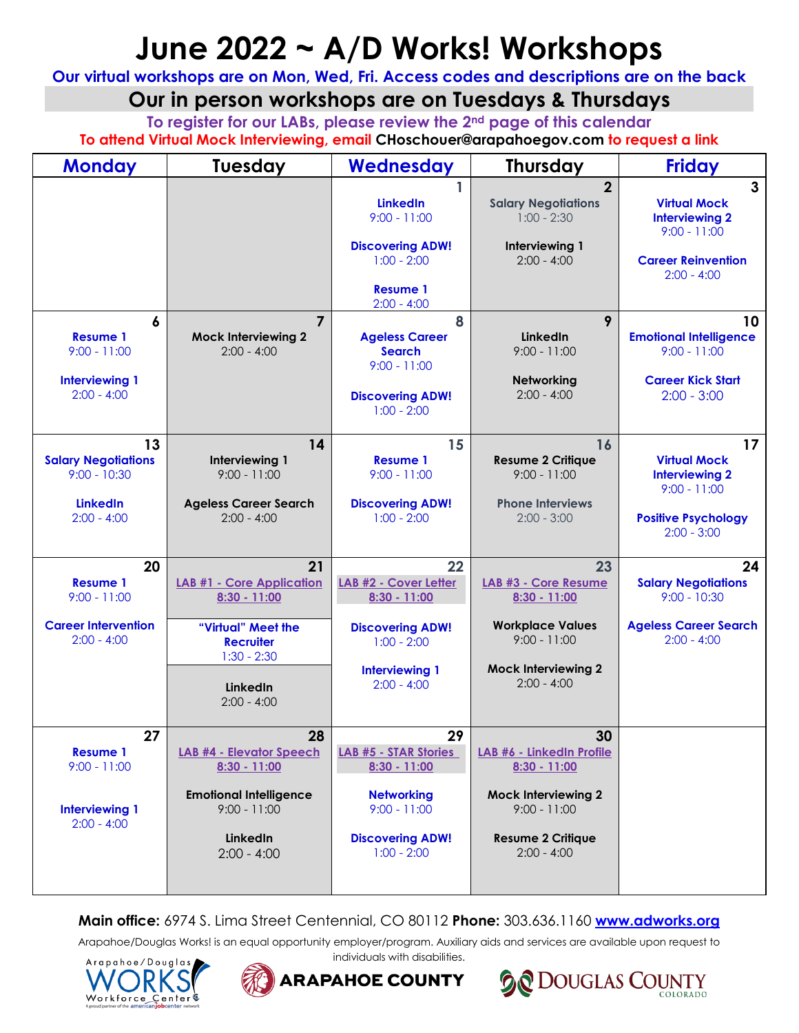# **June 2022 ~ A/D Works! Workshops**

**Our virtual workshops are on Mon, Wed, Fri. Access codes and descriptions are on the back**

# **Our in person workshops are on Tuesdays & Thursdays**

**To register for our LABs, please review the 2nd page of this calendar To attend Virtual Mock Interviewing, email CHoschouer@arapahoegov.com to request a link**

| <b>Monday</b>                                | Tuesday                                          | Wednesday                                                     | <b>Thursday</b>                                               | <b>Friday</b>                                                                  |  |  |
|----------------------------------------------|--------------------------------------------------|---------------------------------------------------------------|---------------------------------------------------------------|--------------------------------------------------------------------------------|--|--|
|                                              |                                                  | 1<br><b>LinkedIn</b><br>$9:00 - 11:00$                        | $\overline{2}$<br><b>Salary Negotiations</b><br>$1:00 - 2:30$ | $\mathbf{3}$<br><b>Virtual Mock</b><br><b>Interviewing 2</b><br>$9:00 - 11:00$ |  |  |
|                                              |                                                  | <b>Discovering ADW!</b><br>$1:00 - 2:00$                      | Interviewing 1<br>$2:00 - 4:00$                               | <b>Career Reinvention</b><br>$2:00 - 4:00$                                     |  |  |
|                                              |                                                  | <b>Resume 1</b><br>$2:00 - 4:00$                              |                                                               |                                                                                |  |  |
| 6<br><b>Resume 1</b><br>$9:00 - 11:00$       | 7<br><b>Mock Interviewing 2</b><br>$2:00 - 4:00$ | 8<br><b>Ageless Career</b><br><b>Search</b><br>$9:00 - 11:00$ | 9<br><b>LinkedIn</b><br>$9:00 - 11:00$                        | 10<br><b>Emotional Intelligence</b><br>$9:00 - 11:00$                          |  |  |
| <b>Interviewing 1</b><br>$2:00 - 4:00$       |                                                  | <b>Discovering ADW!</b><br>$1:00 - 2:00$                      | Networking<br>$2:00 - 4:00$                                   | <b>Career Kick Start</b><br>$2:00 - 3:00$                                      |  |  |
| 13                                           | 14                                               | 15                                                            | 16                                                            | 17                                                                             |  |  |
| <b>Salary Negotiations</b><br>$9:00 - 10:30$ | Interviewing 1<br>$9:00 - 11:00$                 | <b>Resume 1</b><br>$9:00 - 11:00$                             | <b>Resume 2 Critique</b><br>$9:00 - 11:00$                    | <b>Virtual Mock</b><br><b>Interviewing 2</b><br>$9:00 - 11:00$                 |  |  |
| <b>LinkedIn</b><br>$2:00 - 4:00$             | <b>Ageless Career Search</b><br>$2:00 - 4:00$    | <b>Discovering ADW!</b><br>$1:00 - 2:00$                      | <b>Phone Interviews</b><br>$2:00 - 3:00$                      | <b>Positive Psychology</b><br>$2:00 - 3:00$                                    |  |  |
| 20                                           | 21                                               | 22                                                            | 23                                                            | 24                                                                             |  |  |
| <b>Resume 1</b><br>$9:00 - 11:00$            | <b>LAB #1 - Core Application</b><br>8:30 - 11:00 | LAB #2 - Cover Letter<br>$8:30 - 11:00$                       | LAB #3 - Core Resume<br>8:30 - 11:00                          | <b>Salary Negotiations</b><br>$9:00 - 10:30$                                   |  |  |
| <b>Career Intervention</b><br>$2:00 - 4:00$  | "Virtual" Meet the<br><b>Recruiter</b>           | <b>Discovering ADW!</b><br>$1:00 - 2:00$                      | <b>Workplace Values</b><br>$9:00 - 11:00$                     | <b>Ageless Career Search</b><br>$2:00 - 4:00$                                  |  |  |
|                                              | $1:30 - 2:30$<br>LinkedIn<br>$2:00 - 4:00$       | <b>Interviewing 1</b><br>$2:00 - 4:00$                        | <b>Mock Interviewing 2</b><br>$2:00 - 4:00$                   |                                                                                |  |  |
| 27                                           | 28                                               | 29                                                            | 30                                                            |                                                                                |  |  |
| <b>Resume 1</b><br>$9:00 - 11:00$            | <b>LAB #4 - Elevator Speech</b><br>8:30 - 11:00  | <b>LAB #5 - STAR Stories</b><br>$8:30 - 11:00$                | LAB #6 - LinkedIn Profile<br>$8:30 - 11:00$                   |                                                                                |  |  |
| <b>Interviewing 1</b><br>$2:00 - 4:00$       | <b>Emotional Intelligence</b><br>$9:00 - 11:00$  | <b>Networking</b><br>$9:00 - 11:00$                           | <b>Mock Interviewing 2</b><br>$9:00 - 11:00$                  |                                                                                |  |  |
|                                              | LinkedIn<br>$2:00 - 4:00$                        | <b>Discovering ADW!</b><br>$1:00 - 2:00$                      | <b>Resume 2 Critique</b><br>$2:00 - 4:00$                     |                                                                                |  |  |

## **Main office:** 6974 S. Lima Street Centennial, CO 80112 **Phone:** 303.636.1160 **[www.adworks.org](http://www.adworks.org/)**

Arapahoe/Douglas Works! is an equal opportunity employer/program. Auxiliary aids and services are available upon request to individuals with disabilities.